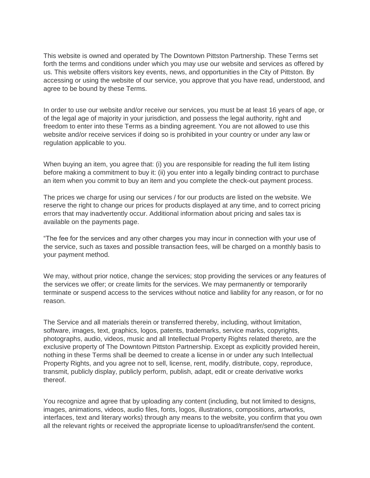This website is owned and operated by The Downtown Pittston Partnership. These Terms set forth the terms and conditions under which you may use our website and services as offered by us. This website offers visitors key events, news, and opportunities in the City of Pittston. By accessing or using the website of our service, you approve that you have read, understood, and agree to be bound by these Terms.

In order to use our website and/or receive our services, you must be at least 16 years of age, or of the legal age of majority in your jurisdiction, and possess the legal authority, right and freedom to enter into these Terms as a binding agreement. You are not allowed to use this website and/or receive services if doing so is prohibited in your country or under any law or regulation applicable to you.

When buying an item, you agree that: (i) you are responsible for reading the full item listing before making a commitment to buy it: (ii) you enter into a legally binding contract to purchase an item when you commit to buy an item and you complete the check-out payment process.

The prices we charge for using our services / for our products are listed on the website. We reserve the right to change our prices for products displayed at any time, and to correct pricing errors that may inadvertently occur. Additional information about pricing and sales tax is available on the payments page.

"The fee for the services and any other charges you may incur in connection with your use of the service, such as taxes and possible transaction fees, will be charged on a monthly basis to your payment method.

We may, without prior notice, change the services; stop providing the services or any features of the services we offer; or create limits for the services. We may permanently or temporarily terminate or suspend access to the services without notice and liability for any reason, or for no reason.

The Service and all materials therein or transferred thereby, including, without limitation, software, images, text, graphics, logos, patents, trademarks, service marks, copyrights, photographs, audio, videos, music and all Intellectual Property Rights related thereto, are the exclusive property of The Downtown Pittston Partnership. Except as explicitly provided herein, nothing in these Terms shall be deemed to create a license in or under any such Intellectual Property Rights, and you agree not to sell, license, rent, modify, distribute, copy, reproduce, transmit, publicly display, publicly perform, publish, adapt, edit or create derivative works thereof.

You recognize and agree that by uploading any content (including, but not limited to designs, images, animations, videos, audio files, fonts, logos, illustrations, compositions, artworks, interfaces, text and literary works) through any means to the website, you confirm that you own all the relevant rights or received the appropriate license to upload/transfer/send the content.